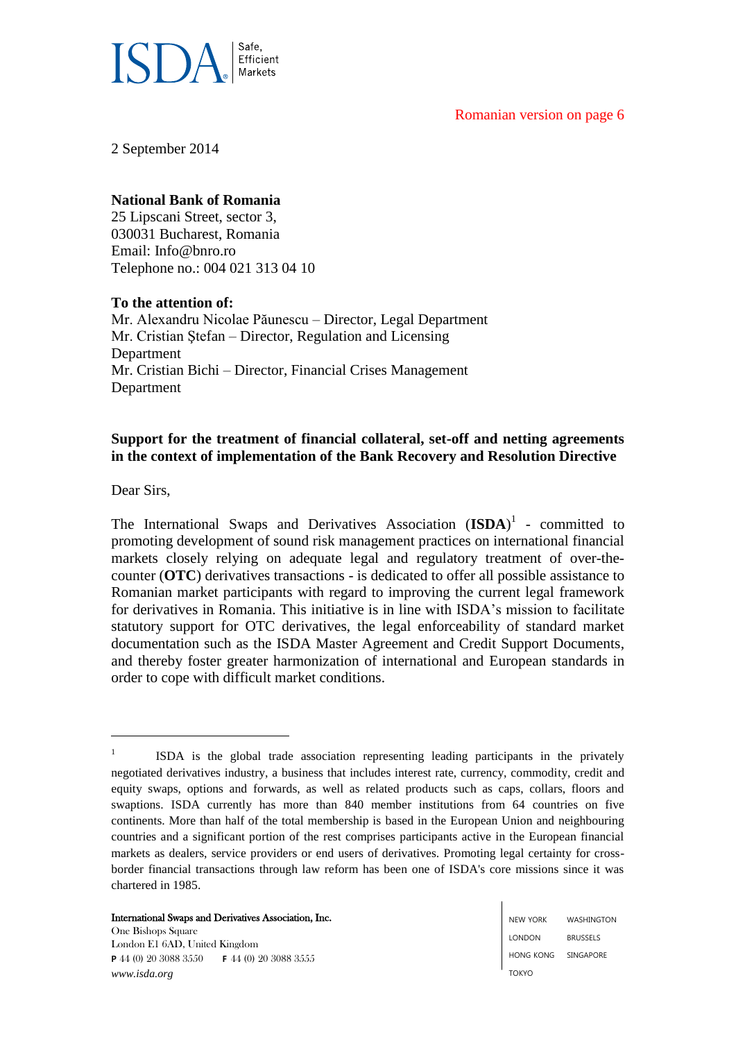### Romanian version on page 6



2 September 2014

# **National Bank of Romania**

25 Lipscani Street, sector 3, 030031 Bucharest, Romania Email: Info@bnro.ro Telephone no.: 004 021 313 04 10

## **To the attention of:**

Mr. Alexandru Nicolae Păunescu – Director, Legal Department Mr. Cristian Ştefan – Director, Regulation and Licensing Department Mr. Cristian Bichi – Director, Financial Crises Management Department

# **Support for the treatment of financial collateral, set-off and netting agreements in the context of implementation of the Bank Recovery and Resolution Directive**

Dear Sirs,

1

The International Swaps and Derivatives Association  $(\mathbf{ISDA})^1$  - committed to promoting development of sound risk management practices on international financial markets closely relying on adequate legal and regulatory treatment of over-thecounter (**OTC**) derivatives transactions - is dedicated to offer all possible assistance to Romanian market participants with regard to improving the current legal framework for derivatives in Romania. This initiative is in line with ISDA's mission to facilitate statutory support for OTC derivatives, the legal enforceability of standard market documentation such as the ISDA Master Agreement and Credit Support Documents, and thereby foster greater harmonization of international and European standards in order to cope with difficult market conditions.

#### International Swaps and Derivatives Association, Inc.

One Bishops Square London E1 6AD, United Kingdom **P** 44 (0) 20 3088 3550 **F** 44 (0) 20 3088 3555 *www.isda.org*

<sup>1</sup> ISDA is the global trade association representing leading participants in the privately negotiated derivatives industry, a business that includes interest rate, currency, commodity, credit and equity swaps, options and forwards, as well as related products such as caps, collars, floors and swaptions. ISDA currently has more than 840 member institutions from 64 countries on five continents. More than half of the total membership is based in the European Union and neighbouring countries and a significant portion of the rest comprises participants active in the European financial markets as dealers, service providers or end users of derivatives. Promoting legal certainty for crossborder financial transactions through law reform has been one of ISDA's core missions since it was chartered in 1985.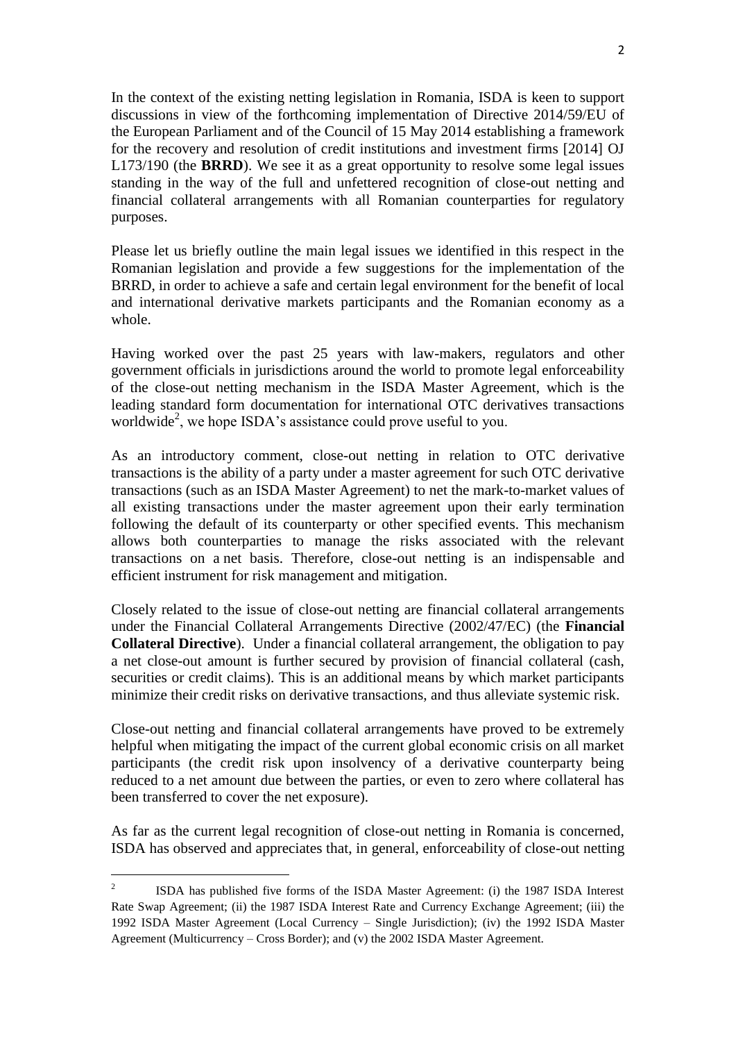In the context of the existing netting legislation in Romania, ISDA is keen to support discussions in view of the forthcoming implementation of Directive 2014/59/EU of the European Parliament and of the Council of 15 May 2014 establishing a framework for the recovery and resolution of credit institutions and investment firms [2014] OJ L173/190 (the **BRRD**). We see it as a great opportunity to resolve some legal issues standing in the way of the full and unfettered recognition of close-out netting and financial collateral arrangements with all Romanian counterparties for regulatory purposes.

Please let us briefly outline the main legal issues we identified in this respect in the Romanian legislation and provide a few suggestions for the implementation of the BRRD, in order to achieve a safe and certain legal environment for the benefit of local and international derivative markets participants and the Romanian economy as a whole.

Having worked over the past 25 years with law-makers, regulators and other government officials in jurisdictions around the world to promote legal enforceability of the close-out netting mechanism in the ISDA Master Agreement, which is the leading standard form documentation for international OTC derivatives transactions worldwide<sup>2</sup>, we hope ISDA's assistance could prove useful to you.

As an introductory comment, close-out netting in relation to OTC derivative transactions is the ability of a party under a master agreement for such OTC derivative transactions (such as an ISDA Master Agreement) to net the mark-to-market values of all existing transactions under the master agreement upon their early termination following the default of its counterparty or other specified events. This mechanism allows both counterparties to manage the risks associated with the relevant transactions on a net basis. Therefore, close-out netting is an indispensable and efficient instrument for risk management and mitigation.

Closely related to the issue of close-out netting are financial collateral arrangements under the Financial Collateral Arrangements Directive (2002/47/EC) (the **Financial Collateral Directive**). Under a financial collateral arrangement, the obligation to pay a net close-out amount is further secured by provision of financial collateral (cash, securities or credit claims). This is an additional means by which market participants minimize their credit risks on derivative transactions, and thus alleviate systemic risk.

Close-out netting and financial collateral arrangements have proved to be extremely helpful when mitigating the impact of the current global economic crisis on all market participants (the credit risk upon insolvency of a derivative counterparty being reduced to a net amount due between the parties, or even to zero where collateral has been transferred to cover the net exposure).

As far as the current legal recognition of close-out netting in Romania is concerned, ISDA has observed and appreciates that, in general, enforceability of close-out netting

 $\frac{1}{2}$ ISDA has published five forms of the ISDA Master Agreement: (i) the 1987 ISDA Interest Rate Swap Agreement; (ii) the 1987 ISDA Interest Rate and Currency Exchange Agreement; (iii) the 1992 ISDA Master Agreement (Local Currency – Single Jurisdiction); (iv) the 1992 ISDA Master Agreement (Multicurrency – Cross Border); and (v) the 2002 ISDA Master Agreement.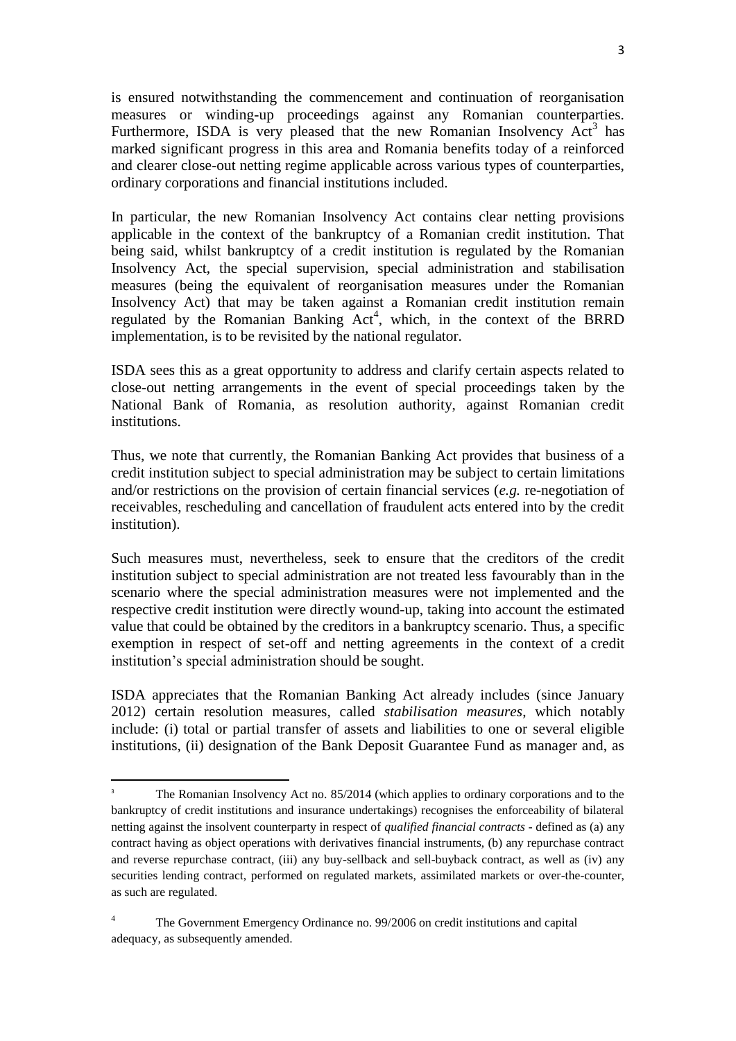is ensured notwithstanding the commencement and continuation of reorganisation measures or winding-up proceedings against any Romanian counterparties. Furthermore, ISDA is very pleased that the new Romanian Insolvency  $Act<sup>3</sup>$  has marked significant progress in this area and Romania benefits today of a reinforced and clearer close-out netting regime applicable across various types of counterparties, ordinary corporations and financial institutions included.

In particular, the new Romanian Insolvency Act contains clear netting provisions applicable in the context of the bankruptcy of a Romanian credit institution. That being said, whilst bankruptcy of a credit institution is regulated by the Romanian Insolvency Act, the special supervision, special administration and stabilisation measures (being the equivalent of reorganisation measures under the Romanian Insolvency Act) that may be taken against a Romanian credit institution remain regulated by the Romanian Banking Act<sup>4</sup>, which, in the context of the BRRD implementation, is to be revisited by the national regulator.

ISDA sees this as a great opportunity to address and clarify certain aspects related to close-out netting arrangements in the event of special proceedings taken by the National Bank of Romania, as resolution authority, against Romanian credit institutions.

Thus, we note that currently, the Romanian Banking Act provides that business of a credit institution subject to special administration may be subject to certain limitations and/or restrictions on the provision of certain financial services (*e.g.* re-negotiation of receivables, rescheduling and cancellation of fraudulent acts entered into by the credit institution).

Such measures must, nevertheless, seek to ensure that the creditors of the credit institution subject to special administration are not treated less favourably than in the scenario where the special administration measures were not implemented and the respective credit institution were directly wound-up, taking into account the estimated value that could be obtained by the creditors in a bankruptcy scenario. Thus, a specific exemption in respect of set-off and netting agreements in the context of a credit institution's special administration should be sought.

ISDA appreciates that the Romanian Banking Act already includes (since January 2012) certain resolution measures, called *stabilisation measures*, which notably include: (i) total or partial transfer of assets and liabilities to one or several eligible institutions, (ii) designation of the Bank Deposit Guarantee Fund as manager and, as

**.** 

<sup>3</sup> The Romanian Insolvency Act no. 85/2014 (which applies to ordinary corporations and to the bankruptcy of credit institutions and insurance undertakings) recognises the enforceability of bilateral netting against the insolvent counterparty in respect of *qualified financial contracts* - defined as (a) any contract having as object operations with derivatives financial instruments, (b) any repurchase contract and reverse repurchase contract, (iii) any buy-sellback and sell-buyback contract, as well as (iv) any securities lending contract, performed on regulated markets, assimilated markets or over-the-counter, as such are regulated.

<sup>&</sup>lt;sup>4</sup> The Government Emergency Ordinance no. 99/2006 on credit institutions and capital adequacy, as subsequently amended.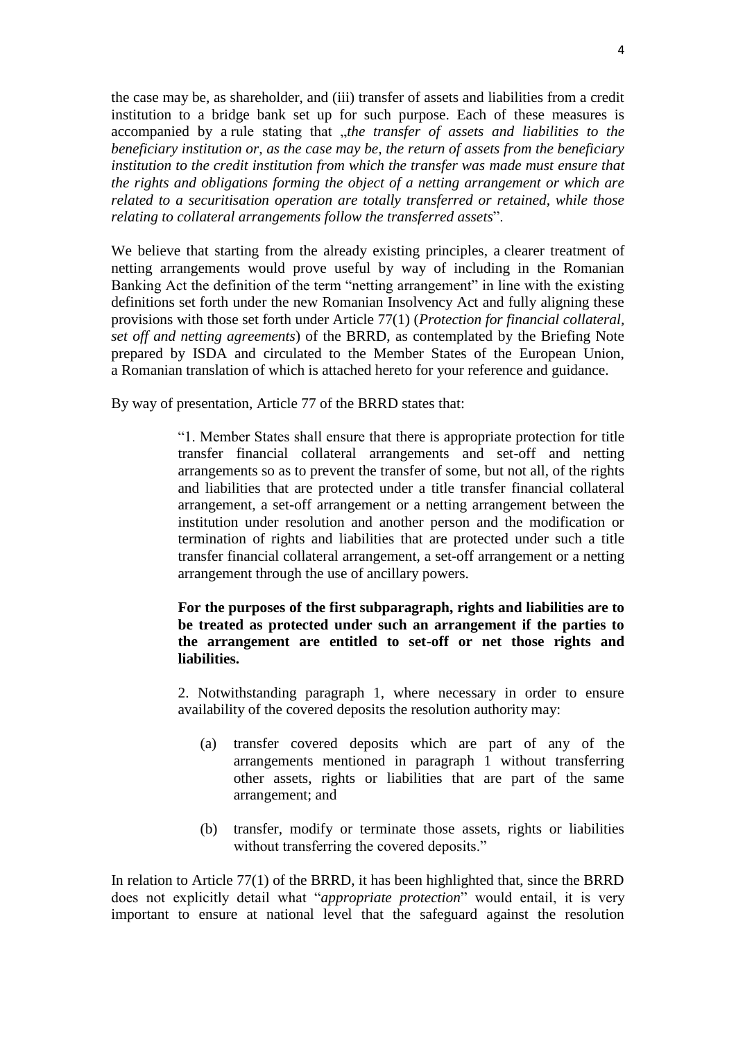the case may be, as shareholder, and (iii) transfer of assets and liabilities from a credit institution to a bridge bank set up for such purpose. Each of these measures is accompanied by a rule stating that *"the transfer of assets and liabilities to the beneficiary institution or, as the case may be, the return of assets from the beneficiary institution to the credit institution from which the transfer was made must ensure that the rights and obligations forming the object of a netting arrangement or which are related to a securitisation operation are totally transferred or retained, while those relating to collateral arrangements follow the transferred assets*".

We believe that starting from the already existing principles, a clearer treatment of netting arrangements would prove useful by way of including in the Romanian Banking Act the definition of the term "netting arrangement" in line with the existing definitions set forth under the new Romanian Insolvency Act and fully aligning these provisions with those set forth under Article 77(1) (*Protection for financial collateral, set off and netting agreements*) of the BRRD, as contemplated by the Briefing Note prepared by ISDA and circulated to the Member States of the European Union, a Romanian translation of which is attached hereto for your reference and guidance.

By way of presentation, Article 77 of the BRRD states that:

"1. Member States shall ensure that there is appropriate protection for title transfer financial collateral arrangements and set-off and netting arrangements so as to prevent the transfer of some, but not all, of the rights and liabilities that are protected under a title transfer financial collateral arrangement, a set-off arrangement or a netting arrangement between the institution under resolution and another person and the modification or termination of rights and liabilities that are protected under such a title transfer financial collateral arrangement, a set-off arrangement or a netting arrangement through the use of ancillary powers.

## **For the purposes of the first subparagraph, rights and liabilities are to be treated as protected under such an arrangement if the parties to the arrangement are entitled to set-off or net those rights and liabilities.**

2. Notwithstanding paragraph 1, where necessary in order to ensure availability of the covered deposits the resolution authority may:

- (a) transfer covered deposits which are part of any of the arrangements mentioned in paragraph 1 without transferring other assets, rights or liabilities that are part of the same arrangement; and
- (b) transfer, modify or terminate those assets, rights or liabilities without transferring the covered deposits."

In relation to Article 77(1) of the BRRD, it has been highlighted that, since the BRRD does not explicitly detail what "*appropriate protection*" would entail, it is very important to ensure at national level that the safeguard against the resolution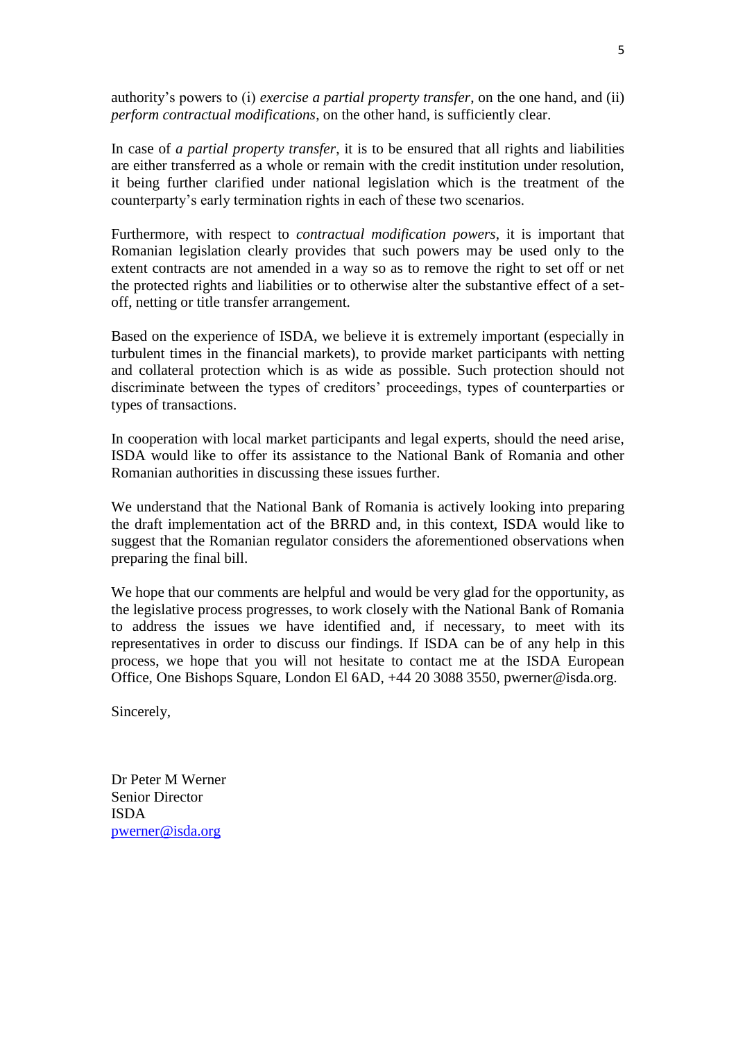authority's powers to (i) *exercise a partial property transfer*, on the one hand, and (ii) *perform contractual modifications*, on the other hand, is sufficiently clear.

In case of *a partial property transfer*, it is to be ensured that all rights and liabilities are either transferred as a whole or remain with the credit institution under resolution, it being further clarified under national legislation which is the treatment of the counterparty's early termination rights in each of these two scenarios.

Furthermore, with respect to *contractual modification powers*, it is important that Romanian legislation clearly provides that such powers may be used only to the extent contracts are not amended in a way so as to remove the right to set off or net the protected rights and liabilities or to otherwise alter the substantive effect of a setoff, netting or title transfer arrangement.

Based on the experience of ISDA, we believe it is extremely important (especially in turbulent times in the financial markets), to provide market participants with netting and collateral protection which is as wide as possible. Such protection should not discriminate between the types of creditors' proceedings, types of counterparties or types of transactions.

In cooperation with local market participants and legal experts, should the need arise, ISDA would like to offer its assistance to the National Bank of Romania and other Romanian authorities in discussing these issues further.

We understand that the National Bank of Romania is actively looking into preparing the draft implementation act of the BRRD and, in this context, ISDA would like to suggest that the Romanian regulator considers the aforementioned observations when preparing the final bill.

We hope that our comments are helpful and would be very glad for the opportunity, as the legislative process progresses, to work closely with the National Bank of Romania to address the issues we have identified and, if necessary, to meet with its representatives in order to discuss our findings. If ISDA can be of any help in this process, we hope that you will not hesitate to contact me at the ISDA European Office, One Bishops Square, London El 6AD, +44 20 3088 3550, pwerner@isda.org.

Sincerely,

Dr Peter M Werner Senior Director ISDA [pwerner@isda.org](mailto:pwerner@isda.org)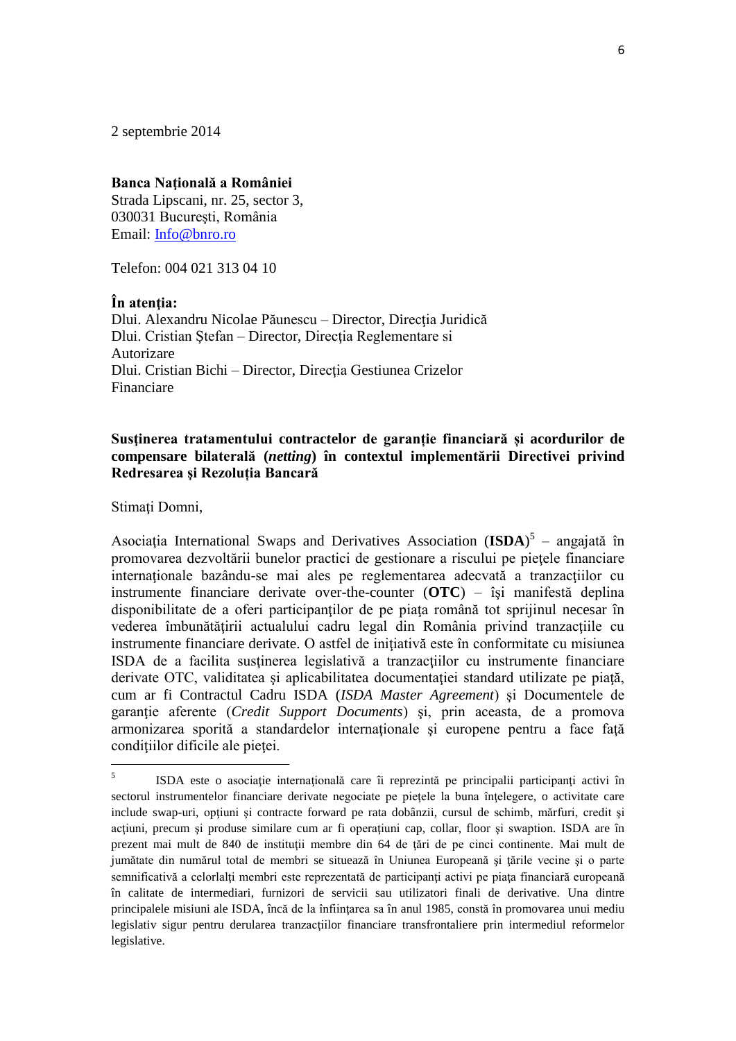2 septembrie 2014

### **Banca Naţională a României**

Strada Lipscani, nr. 25, sector 3, 030031 Bucureşti, România Email: [Info@bnro.ro](mailto:Info@bnro.ro)

Telefon: 004 021 313 04 10

#### **În atenţia:**

Dlui. Alexandru Nicolae Păunescu – Director, Directia Juridică Dlui. Cristian Ştefan – Director, Direcţia Reglementare si Autorizare Dlui. Cristian Bichi – Director, Direcţia Gestiunea Crizelor Financiare

# **Susţinerea tratamentului contractelor de garanție financiară și acordurilor de compensare bilaterală (***netting***) în contextul implementării Directivei privind Redresarea şi Rezoluția Bancară**

Stimați Domni,

Asociaţia International Swaps and Derivatives Association (**ISDA**) 5 – angajată în promovarea dezvoltării bunelor practici de gestionare a riscului pe pieţele financiare internationale bazându-se mai ales pe reglementarea adecvată a tranzactiilor cu instrumente financiare derivate over-the-counter (**OTC**) – îşi manifestă deplina disponibilitate de a oferi participantilor de pe piata română tot sprijinul necesar în vederea îmbunătăţirii actualului cadru legal din România privind tranzacţiile cu instrumente financiare derivate. O astfel de iniţiativă este în conformitate cu misiunea ISDA de a facilita susţinerea legislativă a tranzacţiilor cu instrumente financiare derivate OTC, validitatea şi aplicabilitatea documentaţiei standard utilizate pe piaţă, cum ar fi Contractul Cadru ISDA (*ISDA Master Agreement*) şi Documentele de garanție aferente (*Credit Support Documents*) și, prin aceasta, de a promova armonizarea sporită a standardelor internaționale și europene pentru a face față condiţiilor dificile ale pieţei.

 $\frac{1}{5}$ ISDA este o asociaţie internaţională care îi reprezintă pe principalii participanţi activi în sectorul instrumentelor financiare derivate negociate pe pietele la buna înțelegere, o activitate care include swap-uri, optiuni și contracte forward pe rata dobânzii, cursul de schimb, mărfuri, credit și acțiuni, precum și produse similare cum ar fi operațiuni cap, collar, floor și swaption. ISDA are în prezent mai mult de 840 de instituții membre din 64 de țări de pe cinci continente. Mai mult de jumătate din numărul total de membri se situează în Uniunea Europeană şi ţările vecine şi o parte semnificativă a celorlalți membri este reprezentată de participanți activi pe piața financiară europeană în calitate de intermediari, furnizori de servicii sau utilizatori finali de derivative. Una dintre principalele misiuni ale ISDA, încă de la înfiinţarea sa în anul 1985, constă în promovarea unui mediu legislativ sigur pentru derularea tranzacțiilor financiare transfrontaliere prin intermediul reformelor legislative.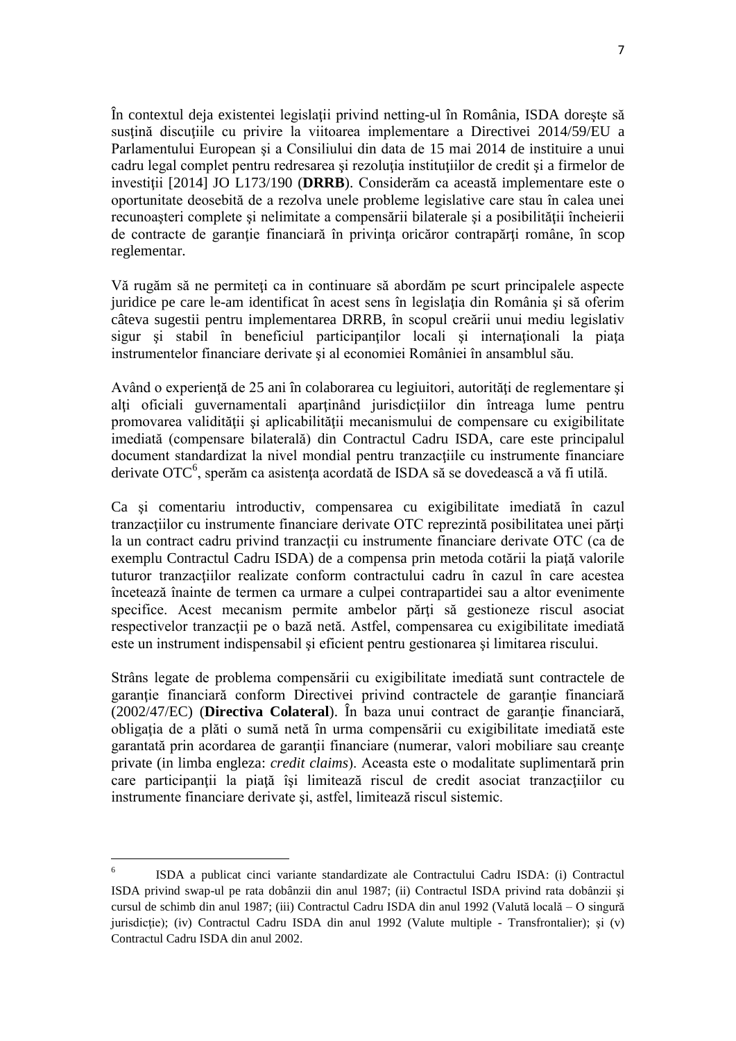În contextul deja existentei legislaţii privind netting-ul în România, ISDA doreşte să sustină discutiile cu privire la viitoarea implementare a Directivei 2014/59/EU a Parlamentului European şi a Consiliului din data de 15 mai 2014 de instituire a unui cadru legal complet pentru redresarea şi rezoluţia instituţiilor de credit şi a firmelor de investiții [2014] JO L173/190 (**DRRB**). Considerăm ca această implementare este o oportunitate deosebită de a rezolva unele probleme legislative care stau în calea unei recunoașteri complete și nelimitate a compensării bilaterale și a posibilității încheierii de contracte de garanţie financiară în privinţa oricăror contrapărţi române, în scop reglementar.

Vă rugăm să ne permiteţi ca in continuare să abordăm pe scurt principalele aspecte juridice pe care le-am identificat în acest sens în legislaţia din România şi să oferim câteva sugestii pentru implementarea DRRB, în scopul creării unui mediu legislativ sigur şi stabil în beneficiul participanţilor locali şi internaţionali la piaţa instrumentelor financiare derivate şi al economiei României în ansamblul său.

Având o experientă de 25 ani în colaborarea cu legiuitori, autorități de reglementare și alti oficiali guvernamentali apartinând jurisdictiilor din întreaga lume pentru promovarea validităţii şi aplicabilităţii mecanismului de compensare cu exigibilitate imediată (compensare bilaterală) din Contractul Cadru ISDA, care este principalul document standardizat la nivel mondial pentru tranzactiile cu instrumente financiare derivate OTC<sup>6</sup>, sperăm ca asistența acordată de ISDA să se dovedească a vă fi utilă.

Ca şi comentariu introductiv, compensarea cu exigibilitate imediată în cazul tranzacțiilor cu instrumente financiare derivate OTC reprezintă posibilitatea unei părți la un contract cadru privind tranzacţii cu instrumente financiare derivate OTC (ca de exemplu Contractul Cadru ISDA) de a compensa prin metoda cotării la piaţă valorile tuturor tranzactiilor realizate conform contractului cadru în cazul în care acestea încetează înainte de termen ca urmare a culpei contrapartidei sau a altor evenimente specifice. Acest mecanism permite ambelor părți să gestioneze riscul asociat respectivelor tranzacții pe o bază netă. Astfel, compensarea cu exigibilitate imediată este un instrument indispensabil şi eficient pentru gestionarea şi limitarea riscului.

Strâns legate de problema compensării cu exigibilitate imediată sunt contractele de garanție financiară conform Directivei privind contractele de garanție financiară (2002/47/EC) (**Directiva Colateral**). În baza unui contract de garantie financiară, obligaţia de a plăti o sumă netă în urma compensării cu exigibilitate imediată este garantată prin acordarea de garanții financiare (numerar, valori mobiliare sau creante private (in limba engleza: *credit claims*). Aceasta este o modalitate suplimentară prin care participanții la piață își limitează riscul de credit asociat tranzacțiilor cu instrumente financiare derivate şi, astfel, limitează riscul sistemic.

**.** 

<sup>6</sup> ISDA a publicat cinci variante standardizate ale Contractului Cadru ISDA: (i) Contractul ISDA privind swap-ul pe rata dobânzii din anul 1987; (ii) Contractul ISDA privind rata dobânzii şi cursul de schimb din anul 1987; (iii) Contractul Cadru ISDA din anul 1992 (Valută locală – O singură jurisdictie); (iv) Contractul Cadru ISDA din anul 1992 (Valute multiple - Transfrontalier); si (v) Contractul Cadru ISDA din anul 2002.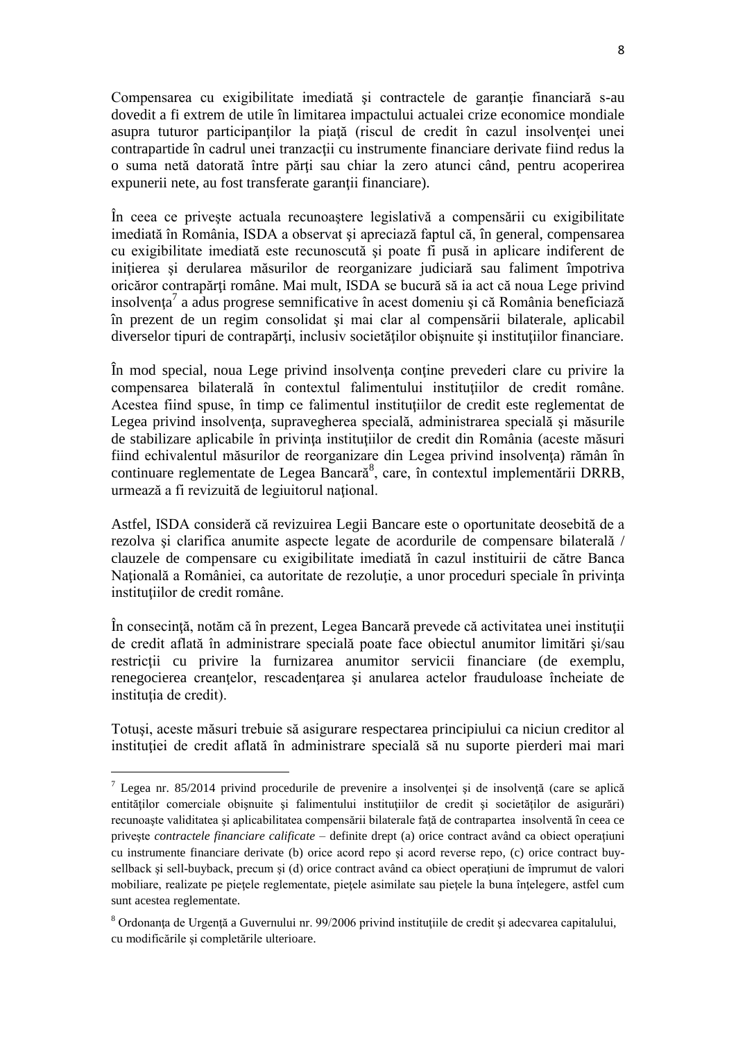Compensarea cu exigibilitate imediată și contractele de garanție financiară s-au dovedit a fi extrem de utile în limitarea impactului actualei crize economice mondiale asupra tuturor participantilor la piată (riscul de credit în cazul insolventei unei contrapartide în cadrul unei tranzacţii cu instrumente financiare derivate fiind redus la o suma netă datorată între părţi sau chiar la zero atunci când, pentru acoperirea expunerii nete, au fost transferate garanții financiare).

În ceea ce priveşte actuala recunoaştere legislativă a compensării cu exigibilitate imediată în România, ISDA a observat şi apreciază faptul că, în general, compensarea cu exigibilitate imediată este recunoscută şi poate fi pusă in aplicare indiferent de inițierea și derularea măsurilor de reorganizare judiciară sau faliment împotriva oricăror contrapărţi române. Mai mult, ISDA se bucură să ia act că noua Lege privind insolvenţa 7 a adus progrese semnificative în acest domeniu şi că România beneficiază în prezent de un regim consolidat şi mai clar al compensării bilaterale, aplicabil diverselor tipuri de contrapărţi, inclusiv societăţilor obişnuite şi instituţiilor financiare.

În mod special, noua Lege privind insolvenţa conţine prevederi clare cu privire la compensarea bilaterală în contextul falimentului instituțiilor de credit române. Acestea fiind spuse, în timp ce falimentul instituțiilor de credit este reglementat de Legea privind insolvența, supravegherea specială, administrarea specială și măsurile de stabilizare aplicabile în privinţa instituţiilor de credit din România (aceste măsuri fiind echivalentul măsurilor de reorganizare din Legea privind insolventa) rămân în continuare reglementate de Legea Bancară<sup>8</sup>, care, în contextul implementării DRRB, urmează a fi revizuită de legiuitorul national.

Astfel, ISDA consideră că revizuirea Legii Bancare este o oportunitate deosebită de a rezolva şi clarifica anumite aspecte legate de acordurile de compensare bilaterală / clauzele de compensare cu exigibilitate imediată în cazul instituirii de către Banca Natională a României, ca autoritate de rezolutie, a unor proceduri speciale în privinta institutiilor de credit române.

În consecinţă, notăm că în prezent, Legea Bancară prevede că activitatea unei instituţii de credit aflată în administrare specială poate face obiectul anumitor limitări şi/sau restrictii cu privire la furnizarea anumitor servicii financiare (de exemplu, renegocierea creanţelor, rescadenţarea şi anularea actelor frauduloase încheiate de institutia de credit).

Totuşi, aceste măsuri trebuie să asigurare respectarea principiului ca niciun creditor al instituției de credit aflată în administrare specială să nu suporte pierderi mai mari

1

 $^7$  Legea nr. 85/2014 privind procedurile de prevenire a insolvenței și de insolvență (care se aplică entităților comerciale obișnuite și falimentului instituțiilor de credit și societăților de asigurări) recunoaște validitatea și aplicabilitatea compensării bilaterale față de contrapartea insolvență în ceea ce priveste *contractele financiare calificate* – definite drept (a) orice contract având ca obiect operatiuni cu instrumente financiare derivate (b) orice acord repo şi acord reverse repo, (c) orice contract buysellback și sell-buyback, precum și (d) orice contract având ca obiect operațiuni de împrumut de valori mobiliare, realizate pe piețele reglementate, piețele asimilate sau piețele la buna înțelegere, astfel cum sunt acestea reglementate.

<sup>&</sup>lt;sup>8</sup> Ordonanța de Urgență a Guvernului nr. 99/2006 privind instituțiile de credit și adecvarea capitalului, cu modificările şi completările ulterioare.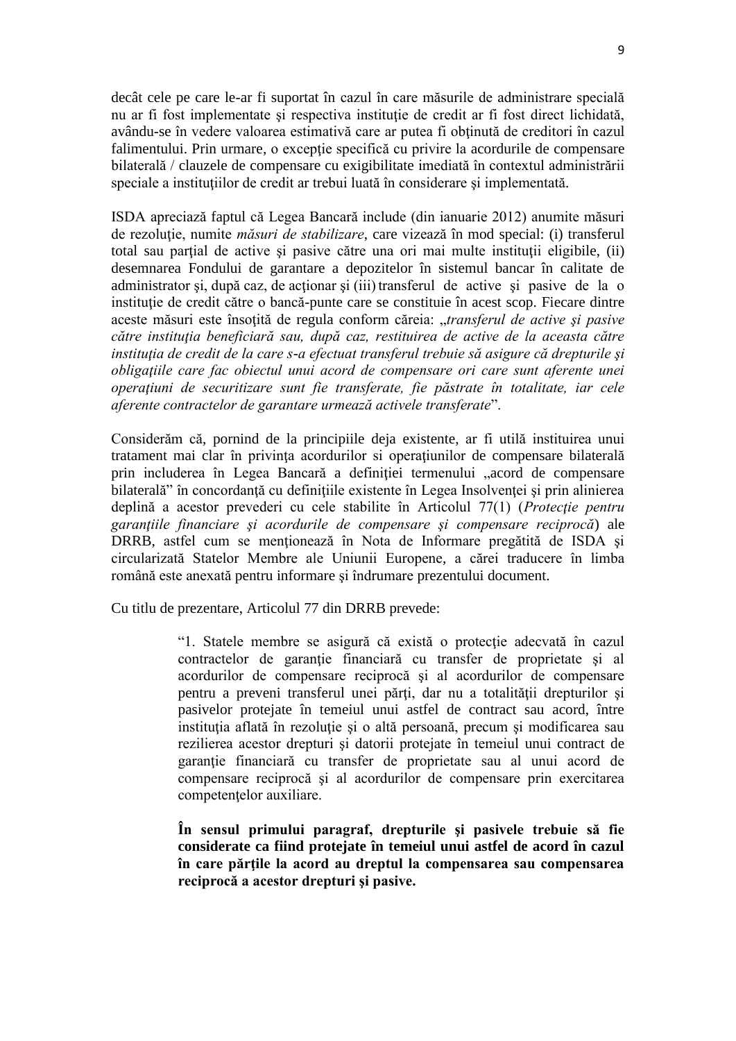decât cele pe care le-ar fi suportat în cazul în care măsurile de administrare specială nu ar fi fost implementate și respectiva instituție de credit ar fi fost direct lichidată, avându-se în vedere valoarea estimativă care ar putea fi obtinută de creditori în cazul falimentului. Prin urmare, o excepție specifică cu privire la acordurile de compensare bilaterală / clauzele de compensare cu exigibilitate imediată în contextul administrării speciale a instituțiilor de credit ar trebui luată în considerare și implementată.

ISDA apreciază faptul că Legea Bancară include (din ianuarie 2012) anumite măsuri de rezoluţie, numite *măsuri de stabilizare*, care vizează în mod special: (i) transferul total sau parţial de active şi pasive către una ori mai multe instituţii eligibile, (ii) desemnarea Fondului de garantare a depozitelor în sistemul bancar în calitate de administrator și, după caz, de acționar și (iii) transferul de active și pasive de la o instituție de credit către o bancă-punte care se constituie în acest scop. Fiecare dintre aceste măsuri este însoţită de regula conform căreia: "*transferul de active şi pasive către instituţia beneficiară sau, după caz, restituirea de active de la aceasta către instituţia de credit de la care s-a efectuat transferul trebuie să asigure că drepturile şi obligaţiile care fac obiectul unui acord de compensare ori care sunt aferente unei operaţiuni de securitizare sunt fie transferate, fie păstrate în totalitate, iar cele aferente contractelor de garantare urmează activele transferate*".

Considerăm că, pornind de la principiile deja existente, ar fi utilă instituirea unui tratament mai clar în privința acordurilor si operațiunilor de compensare bilaterală prin includerea în Legea Bancară a definiției termenului "acord de compensare bilaterală" în concordanță cu definițiile existente în Legea Insolvenței și prin alinierea deplină a acestor prevederi cu cele stabilite în Articolul 77(1) (*Protecţie pentru garanţiile financiare şi acordurile de compensare şi compensare reciprocă*) ale DRRB, astfel cum se menţionează în Nota de Informare pregătită de ISDA şi circularizată Statelor Membre ale Uniunii Europene, a cărei traducere în limba română este anexată pentru informare și îndrumare prezentului document.

Cu titlu de prezentare, Articolul 77 din DRRB prevede:

"1. Statele membre se asigură că există o protecție adecvată în cazul contractelor de garantie financiară cu transfer de proprietate și al acordurilor de compensare reciprocă şi al acordurilor de compensare pentru a preveni transferul unei părți, dar nu a totalității drepturilor și pasivelor protejate în temeiul unui astfel de contract sau acord, între instituția aflată în rezoluție și o altă persoană, precum și modificarea sau rezilierea acestor drepturi şi datorii protejate în temeiul unui contract de garanție financiară cu transfer de proprietate sau al unui acord de compensare reciprocă şi al acordurilor de compensare prin exercitarea competenţelor auxiliare.

**În sensul primului paragraf, drepturile şi pasivele trebuie să fie considerate ca fiind protejate în temeiul unui astfel de acord în cazul în care părţile la acord au dreptul la compensarea sau compensarea reciprocă a acestor drepturi şi pasive.**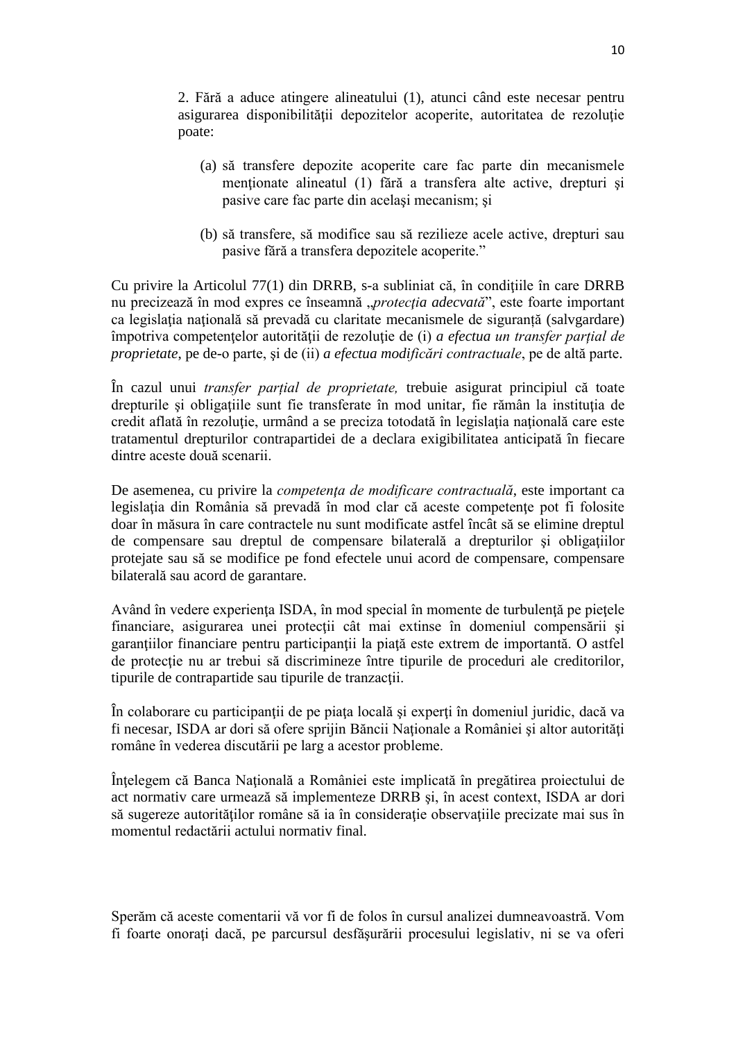2. Fără a aduce atingere alineatului (1), atunci când este necesar pentru asigurarea disponibilităţii depozitelor acoperite, autoritatea de rezoluţie poate:

- (a) să transfere depozite acoperite care fac parte din mecanismele menționate alineatul (1) fără a transfera alte active, drepturi și pasive care fac parte din acelaşi mecanism; şi
- (b) să transfere, să modifice sau să rezilieze acele active, drepturi sau pasive fără a transfera depozitele acoperite."

Cu privire la Articolul 77(1) din DRRB, s-a subliniat că, în condiţiile în care DRRB nu precizează în mod expres ce înseamnă "*protecția adecvată*", este foarte important ca legislatia natională să prevadă cu claritate mecanismele de siguranță (salvgardare) împotriva competenţelor autorităţii de rezoluţie de (i) *a efectua un transfer parțial de proprietate*, pe de-o parte, şi de (ii) *a efectua modificări contractuale*, pe de altă parte.

În cazul unui *transfer parțial de proprietate,* trebuie asigurat principiul că toate drepturile și obligațiile sunt fie transferate în mod unitar, fie rămân la instituția de credit aflată în rezoluție, urmând a se preciza totodată în legislația națională care este tratamentul drepturilor contrapartidei de a declara exigibilitatea anticipată în fiecare dintre aceste două scenarii.

De asemenea, cu privire la *competenţa de modificare contractuală*, este important ca legislația din România să prevadă în mod clar că aceste competențe pot fi folosite doar în măsura în care contractele nu sunt modificate astfel încât să se elimine dreptul de compensare sau dreptul de compensare bilaterală a drepturilor şi obligaţiilor protejate sau să se modifice pe fond efectele unui acord de compensare, compensare bilaterală sau acord de garantare.

Având în vedere experienta ISDA, în mod special în momente de turbulență pe piețele financiare, asigurarea unei protecţii cât mai extinse în domeniul compensării şi garanțiilor financiare pentru participanții la piață este extrem de importantă. O astfel de protecție nu ar trebui să discrimineze între tipurile de proceduri ale creditorilor, tipurile de contrapartide sau tipurile de tranzacţii.

În colaborare cu participanţii de pe piaţa locală şi experţi în domeniul juridic, dacă va fi necesar, ISDA ar dori să ofere sprijin Băncii Naționale a României și altor autorități române în vederea discutării pe larg a acestor probleme.

Înţelegem că Banca Naţională a României este implicată în pregătirea proiectului de act normativ care urmează să implementeze DRRB şi, în acest context, ISDA ar dori să sugereze autorităţilor române să ia în consideraţie observaţiile precizate mai sus în momentul redactării actului normativ final.

Sperăm că aceste comentarii vă vor fi de folos în cursul analizei dumneavoastră. Vom fi foarte onoraţi dacă, pe parcursul desfăşurării procesului legislativ, ni se va oferi